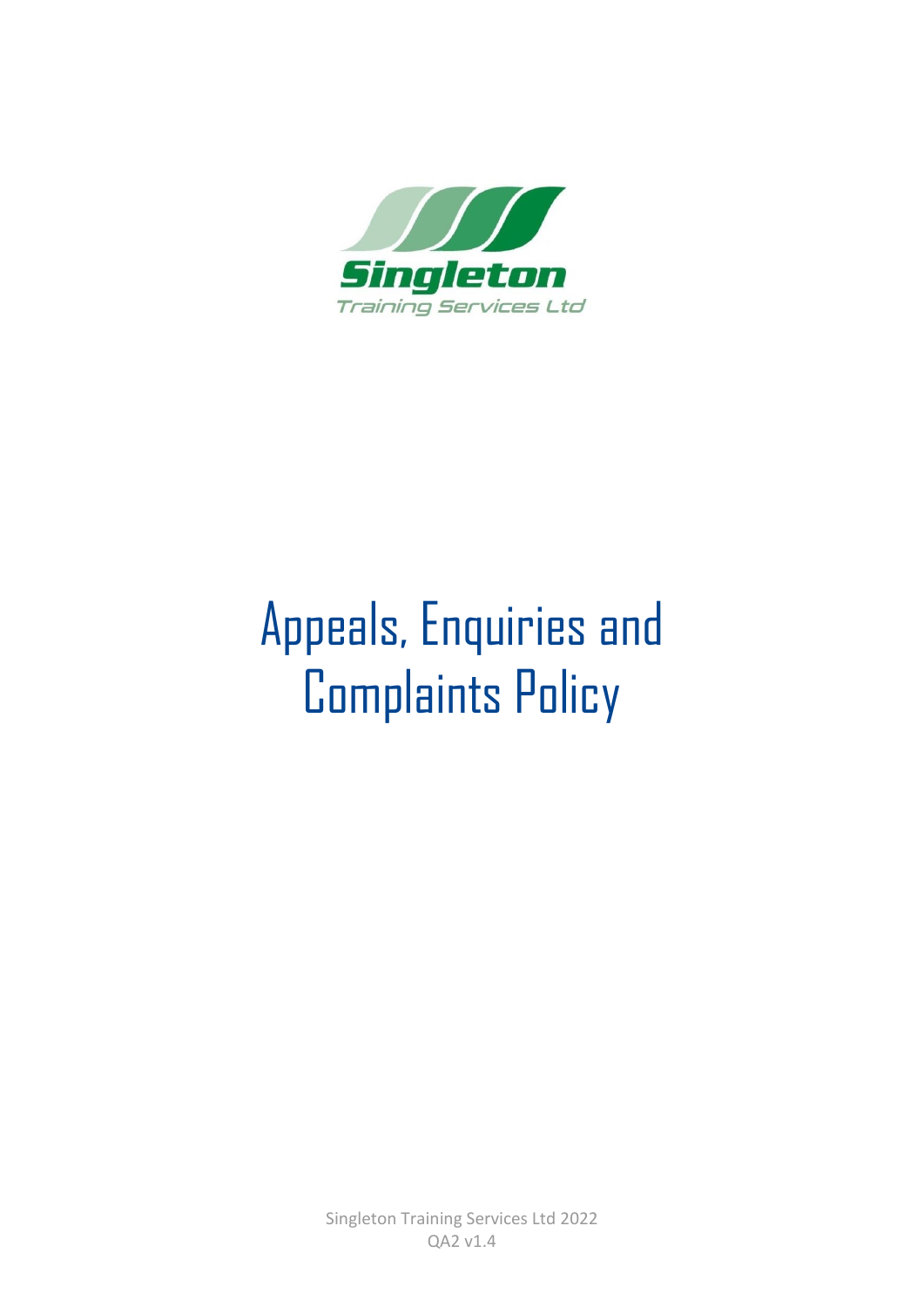

# Appeals, Enquiries and Complaints Policy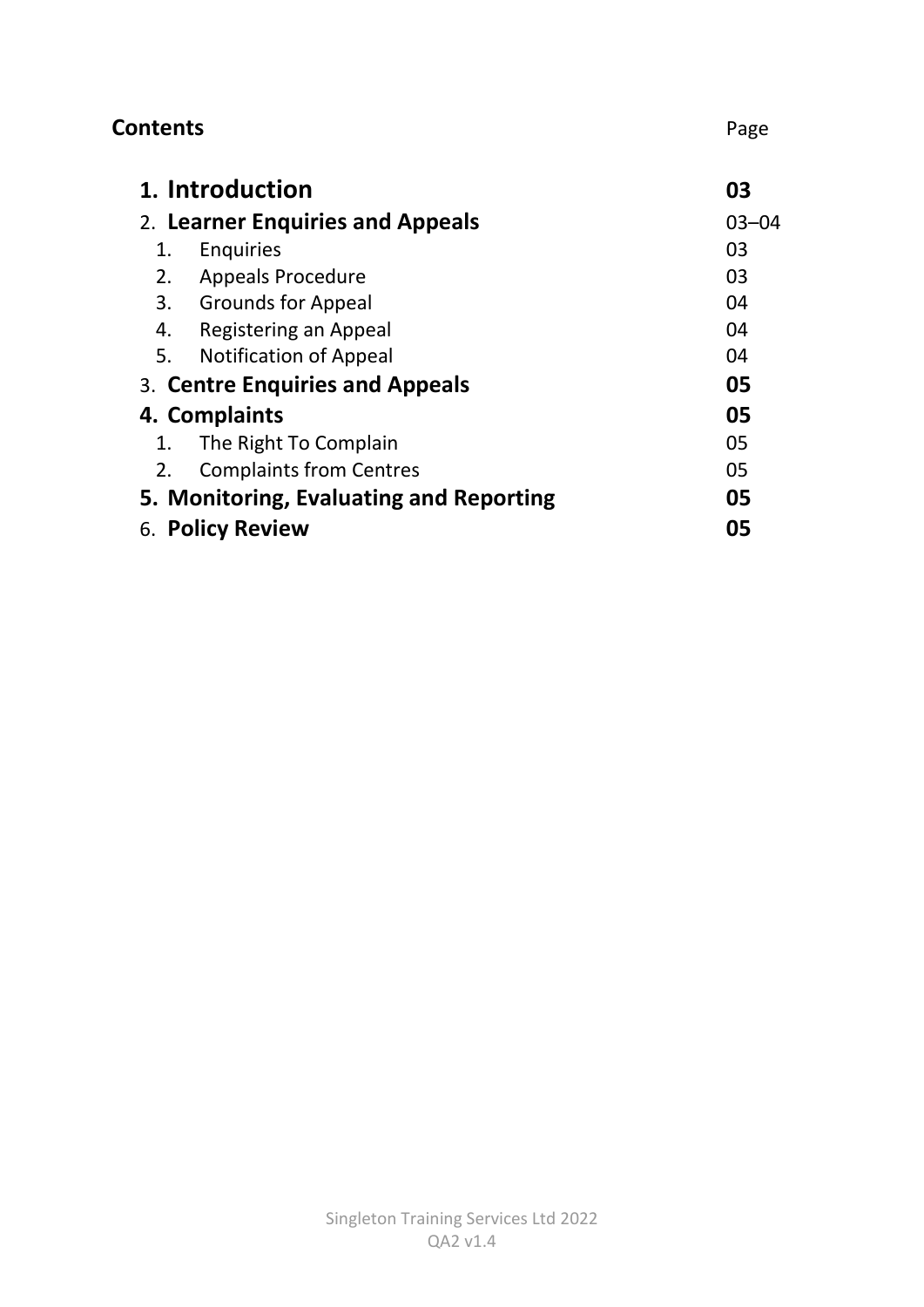| <b>Contents</b>                         | Page      |
|-----------------------------------------|-----------|
| 1. Introduction                         | 03        |
| 2. Learner Enquiries and Appeals        | $03 - 04$ |
| Enquiries<br>1.                         | 03        |
| <b>Appeals Procedure</b><br>2.          | 03        |
| 3. Grounds for Appeal                   | 04        |
| Registering an Appeal<br>4.             | 04        |
| 5.<br><b>Notification of Appeal</b>     | 04        |
| 3. Centre Enquiries and Appeals         | 05        |
| 4. Complaints                           | 05        |
| The Right To Complain<br>1.             | 05        |
| <b>Complaints from Centres</b><br>2.    | 05        |
| 5. Monitoring, Evaluating and Reporting | 05        |
| 6. Policy Review                        | 05        |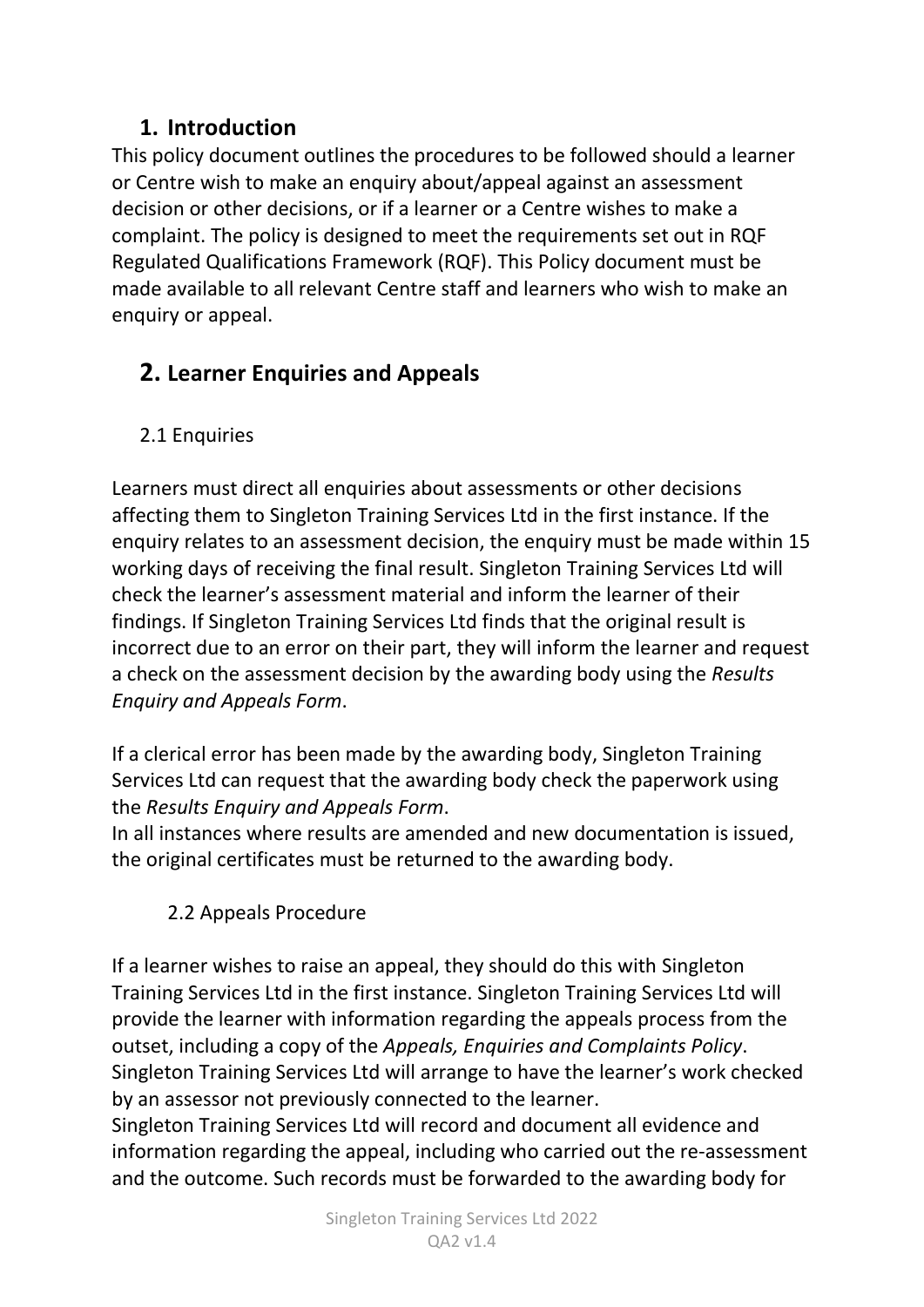#### **1. Introduction**

This policy document outlines the procedures to be followed should a learner or Centre wish to make an enquiry about/appeal against an assessment decision or other decisions, or if a learner or a Centre wishes to make a complaint. The policy is designed to meet the requirements set out in RQF Regulated Qualifications Framework (RQF). This Policy document must be made available to all relevant Centre staff and learners who wish to make an enquiry or appeal.

## **2. Learner Enquiries and Appeals**

### 2.1 Enquiries

Learners must direct all enquiries about assessments or other decisions affecting them to Singleton Training Services Ltd in the first instance. If the enquiry relates to an assessment decision, the enquiry must be made within 15 working days of receiving the final result. Singleton Training Services Ltd will check the learner's assessment material and inform the learner of their findings. If Singleton Training Services Ltd finds that the original result is incorrect due to an error on their part, they will inform the learner and request a check on the assessment decision by the awarding body using the *Results Enquiry and Appeals Form*.

If a clerical error has been made by the awarding body, Singleton Training Services Ltd can request that the awarding body check the paperwork using the *Results Enquiry and Appeals Form*.

In all instances where results are amended and new documentation is issued, the original certificates must be returned to the awarding body.

### 2.2 Appeals Procedure

If a learner wishes to raise an appeal, they should do this with Singleton Training Services Ltd in the first instance. Singleton Training Services Ltd will provide the learner with information regarding the appeals process from the outset, including a copy of the *Appeals, Enquiries and Complaints Policy*. Singleton Training Services Ltd will arrange to have the learner's work checked by an assessor not previously connected to the learner.

Singleton Training Services Ltd will record and document all evidence and information regarding the appeal, including who carried out the re-assessment and the outcome. Such records must be forwarded to the awarding body for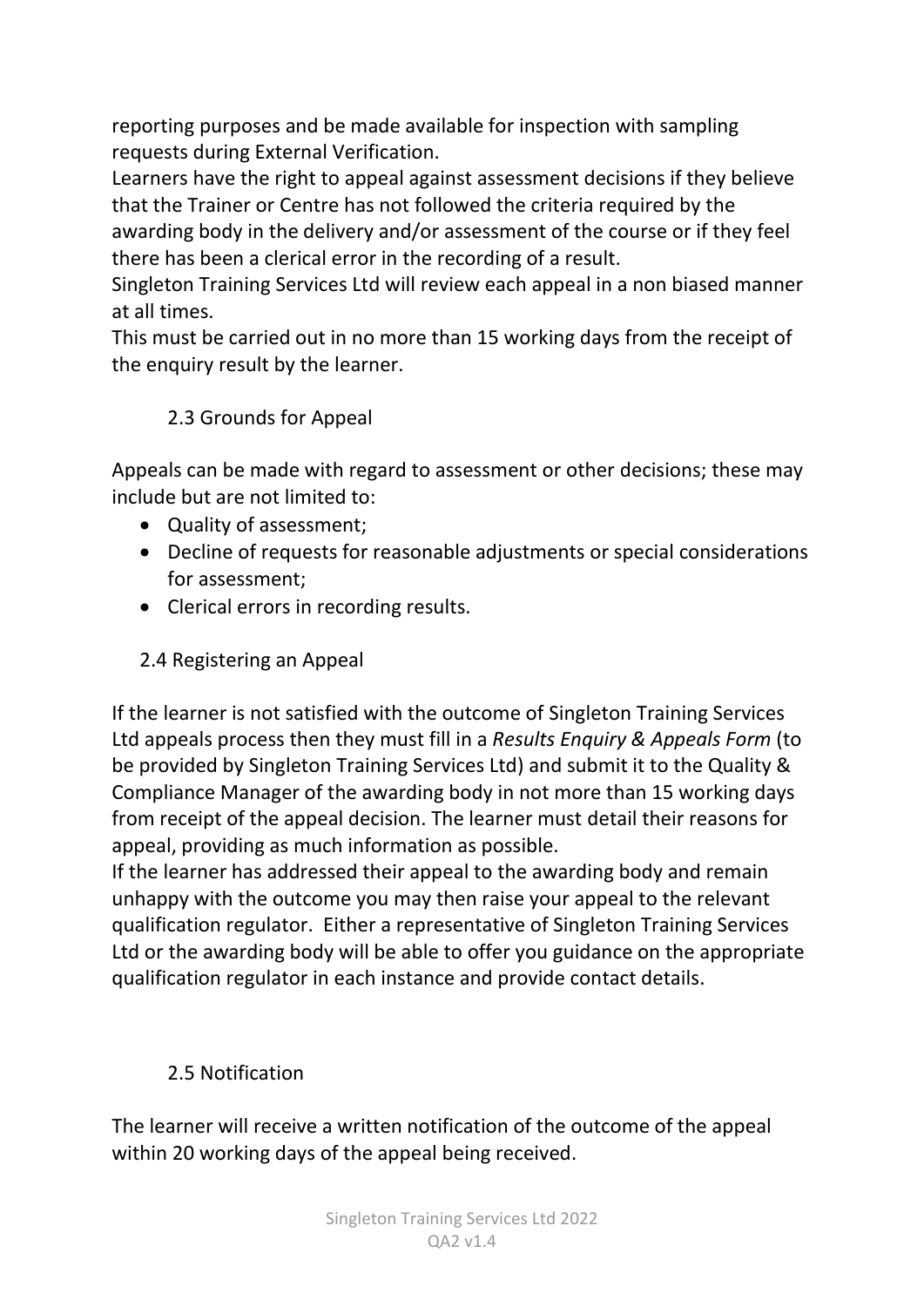reporting purposes and be made available for inspection with sampling requests during External Verification.

Learners have the right to appeal against assessment decisions if they believe that the Trainer or Centre has not followed the criteria required by the awarding body in the delivery and/or assessment of the course or if they feel there has been a clerical error in the recording of a result.

Singleton Training Services Ltd will review each appeal in a non biased manner at all times.

This must be carried out in no more than 15 working days from the receipt of the enquiry result by the learner.

#### 2.3 Grounds for Appeal

Appeals can be made with regard to assessment or other decisions; these may include but are not limited to:

- Quality of assessment;
- Decline of requests for reasonable adjustments or special considerations for assessment;
- Clerical errors in recording results.
- 2.4 Registering an Appeal

If the learner is not satisfied with the outcome of Singleton Training Services Ltd appeals process then they must fill in a *Results Enquiry & Appeals Form* (to be provided by Singleton Training Services Ltd) and submit it to the Quality & Compliance Manager of the awarding body in not more than 15 working days from receipt of the appeal decision. The learner must detail their reasons for appeal, providing as much information as possible.

If the learner has addressed their appeal to the awarding body and remain unhappy with the outcome you may then raise your appeal to the relevant qualification regulator. Either a representative of Singleton Training Services Ltd or the awarding body will be able to offer you guidance on the appropriate qualification regulator in each instance and provide contact details.

### 2.5 Notification

The learner will receive a written notification of the outcome of the appeal within 20 working days of the appeal being received.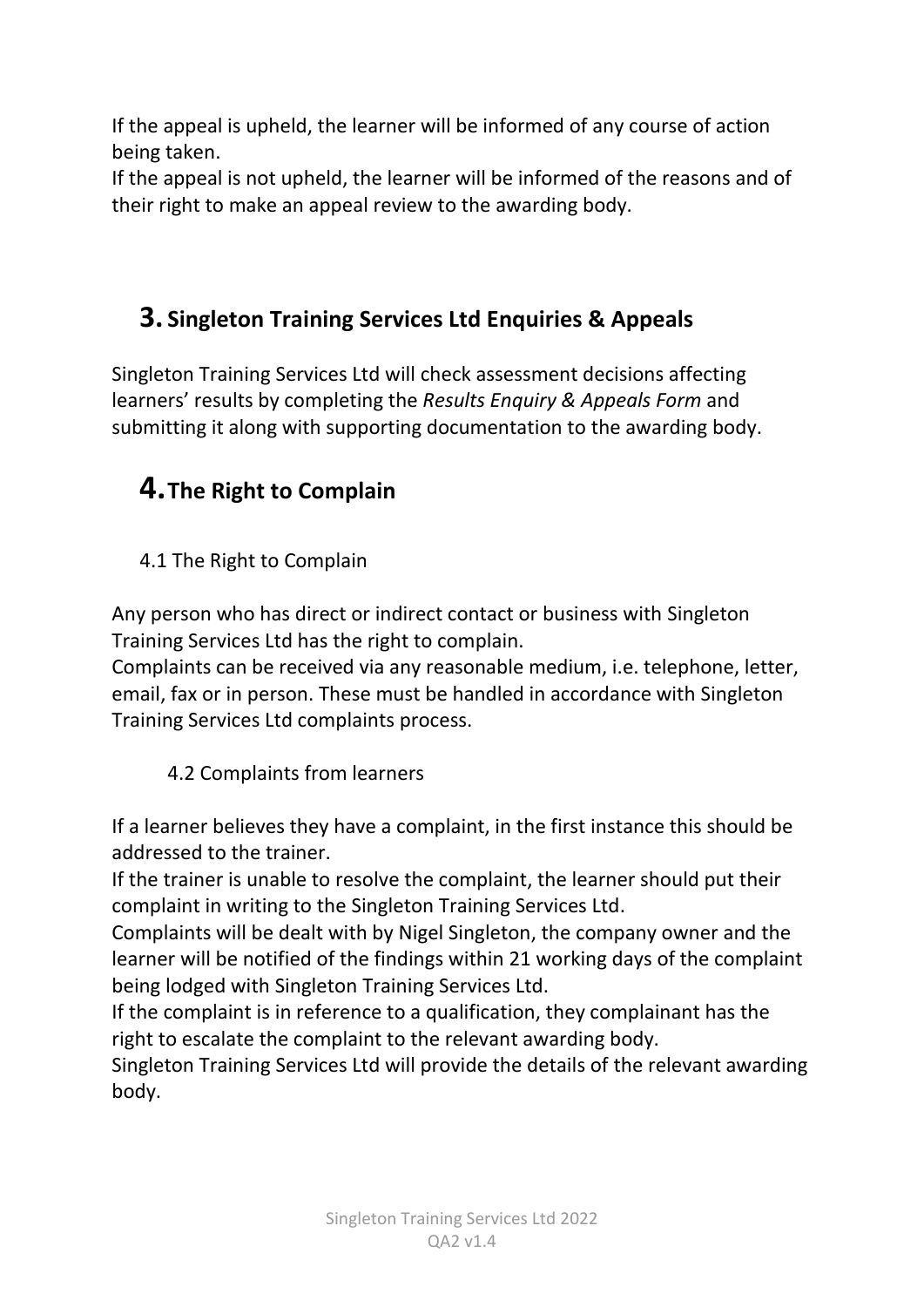If the appeal is upheld, the learner will be informed of any course of action being taken.

If the appeal is not upheld, the learner will be informed of the reasons and of their right to make an appeal review to the awarding body.

## **3. Singleton Training Services Ltd Enquiries & Appeals**

Singleton Training Services Ltd will check assessment decisions affecting learners' results by completing the *Results Enquiry & Appeals Form* and submitting it along with supporting documentation to the awarding body.

## **4.The Right to Complain**

4.1 The Right to Complain

Any person who has direct or indirect contact or business with Singleton Training Services Ltd has the right to complain.

Complaints can be received via any reasonable medium, i.e. telephone, letter, email, fax or in person. These must be handled in accordance with Singleton Training Services Ltd complaints process.

4.2 Complaints from learners

If a learner believes they have a complaint, in the first instance this should be addressed to the trainer.

If the trainer is unable to resolve the complaint, the learner should put their complaint in writing to the Singleton Training Services Ltd.

Complaints will be dealt with by Nigel Singleton, the company owner and the learner will be notified of the findings within 21 working days of the complaint being lodged with Singleton Training Services Ltd.

If the complaint is in reference to a qualification, they complainant has the right to escalate the complaint to the relevant awarding body.

Singleton Training Services Ltd will provide the details of the relevant awarding body.